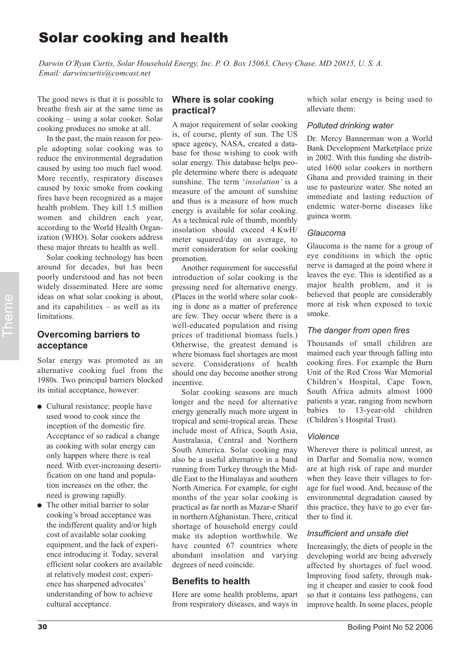# Solar cooking and health

*Darwin O'Ryan Curtis, Solar Household Energy, Inc. P. O. Box 15063, Chevy Chase, MD 20815, U. S. A. Email: darwincurtis@comcast.net*

The good news is that it is possible to breathe fresh air at the same time as cooking – using a solar cooker. Solar cooking produces no smoke at all.

In the past, the main reason for people adopting solar cooking was to reduce the environmental degradation caused by using too much fuel wood. More recently, respiratory diseases caused by toxic smoke from cooking fires have been recognized as a major health problem. They kill 1.5 million women and children each year, according to the World Health Organization (WHO). Solar cookers address these major threats to health as well.

Solar cooking technology has been around for decades, but has been poorly understood and has not been widely disseminated. Here are some ideas on what solar cooking is about, and its capabilities – as well as its limitations.

### **Overcoming barriers to acceptance**

Solar energy was promoted as an alternative cooking fuel from the 1980s. Two principal barriers blocked its initial acceptance, however:

- Cultural resistance; people have used wood to cook since the inception of the domestic fire. Acceptance of so radical a change as cooking with solar energy can only happen where there is real need. With ever-increasing desertification on one hand and population increases on the other, the need is growing rapidly.
- The other initial barrier to solar cooking's broad acceptance was the indifferent quality and/or high cost of available solar cooking equipment, and the lack of experience introducing it. Today, several efficient solar cookers are available at relatively modest cost; experience has sharpened advocates' understanding of how to achieve cultural acceptance.

# **Where is solar cooking practical?**

A major requirement of solar cooking is, of course, plenty of sun. The US space agency, NASA, created a database for those wishing to cook with solar energy. This database helps people determine where there is adequate sunshine. The term '*insolation'* is a measure of the amount of sunshine and thus is a measure of how much energy is available for solar cooking. As a technical rule of thumb, monthly insolation should exceed 4 KwH/ meter squared/day on average, to merit consideration for solar cooking promotion.

Another requirement for successful introduction of solar cooking is the pressing need for alternative energy. (Places in the world where solar cooking is done as a matter of preference are few. They occur where there is a well-educated population and rising prices of traditional biomass fuels.) Otherwise, the greatest demand is where biomass fuel shortages are most severe. Considerations of health should one day become another strong incentive.

Solar cooking seasons are much longer and the need for alternative energy generally much more urgent in tropical and semi-tropical areas. These include most of Africa, South Asia, Australasia, Central and Northern South America. Solar cooking may also be a useful alternative in a band running from Turkey through the Middle East to the Himalayas and southern North America. For example, for eight months of the year solar cooking is practical as far north as Mazar-e Sharif in northern Afghanistan. There, critical shortage of household energy could make its adoption worthwhile. We have counted 67 countries where abundant insolation and varying degrees of need coincide. 2008 and solution of the total content in the same that is not the same that is apply the same that is apply the same that is a particular to the same term in the same term in the same term in the same term in the same ter

# **Benefits to health**

Here are some health problems, apart from respiratory diseases, and ways in which solar energy is being used to alleviate them:

#### *Polluted drinking water*

Dr. Mercy Bannerman won a World Bank Development Marketplace prize in 2002. With this funding she distributed 1600 solar cookers in northern Ghana and provided training in their use to pasteurize water. She noted an immediate and lasting reduction of endemic water-borne diseases like guinea worm.

### *Glaucoma*

Glaucoma is the name for a group of eye conditions in which the optic nerve is damaged at the point where it leaves the eye. This is identified as a major health problem, and it is believed that people are considerably more at risk when exposed to toxic smoke.

### *The danger from open fires*

Thousands of small children are maimed each year through falling into cooking fires. For example the Burn Unit of the Red Cross War Memorial Children's Hospital, Cape Town, South Africa admits almost 1000 patients a year, ranging from newborn babies to 13-year-old children (Children's Hospital Trust).

### *Violence*

Wherever there is political unrest, as in Darfur and Somalia now, women are at high risk of rape and murder when they leave their villages to forage for fuel wood. And, because of the environmental degradation caused by this practice, they have to go ever farther to find it.

### *Insufficient and unsafe diet*

Increasingly, the diets of people in the developing world are being adversely affected by shortages of fuel wood. Improving food safety, through making it cheaper and easier to cook food so that it contains less pathogens, can improve health. In some places, people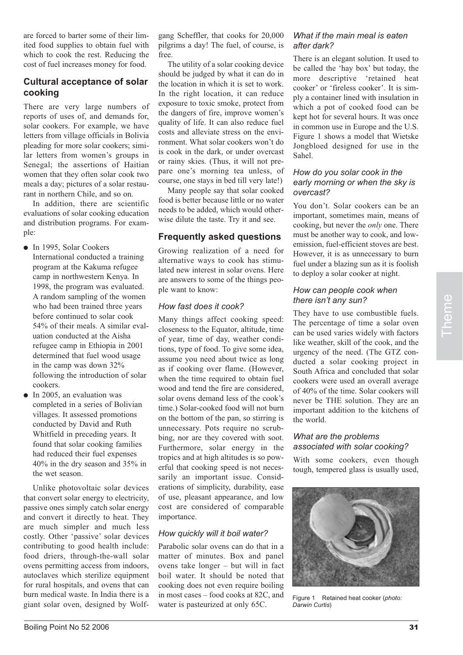are forced to barter some of their limited food supplies to obtain fuel with which to cook the rest. Reducing the cost of fuel increases money for food.

# **Cultural acceptance of solar cooking**

There are very large numbers of reports of uses of, and demands for, solar cookers. For example, we have letters from village officials in Bolivia pleading for more solar cookers; similar letters from women's groups in Senegal; the assertions of Haitian women that they often solar cook two meals a day; pictures of a solar restaurant in northern Chile, and so on.

In addition, there are scientific evaluations of solar cooking education and distribution programs. For example:

- In 1995, Solar Cookers International conducted a training program at the Kakuma refugee camp in northwestern Kenya. In 1998, the program was evaluated. A random sampling of the women who had been trained three years before continued to solar cook 54% of their meals. A similar evaluation conducted at the Aisha refugee camp in Ethiopia in 2001 determined that fuel wood usage in the camp was down 32% following the introduction of solar cookers.
- In 2005, an evaluation was completed in a series of Bolivian villages. It assessed promotions conducted by David and Ruth Whitfield in preceding years. It found that solar cooking families had reduced their fuel expenses 40% in the dry season and 35% in the wet season.

Unlike photovoltaic solar devices that convert solar energy to electricity, passive ones simply catch solar energy and convert it directly to heat. They are much simpler and much less costly. Other 'passive' solar devices contributing to good health include: food driers, through-the-wall solar ovens permitting access from indoors, autoclaves which sterilize equipment for rural hospitals, and ovens that can burn medical waste. In India there is a giant solar oven, designed by Wolf-

gang Scheffler, that cooks for 20,000 pilgrims a day! The fuel, of course, is free.

The utility of a solar cooking device should be judged by what it can do in the location in which it is set to work. In the right location, it can reduce exposure to toxic smoke, protect from the dangers of fire, improve women's quality of life. It can also reduce fuel costs and alleviate stress on the environment. What solar cookers won't do is cook in the dark, or under overcast or rainy skies. (Thus, it will not prepare one's morning tea unless, of course, one stays in bed till very late!)

Many people say that solar cooked food is better because little or no water needs to be added, which would otherwise dilute the taste. Try it and see.

# **Frequently asked questions**

Growing realization of a need for alternative ways to cook has stimulated new interest in solar ovens. Here are answers to some of the things people want to know:

## *How fast does it cook?*

Many things affect cooking speed: closeness to the Equator, altitude, time of year, time of day, weather conditions, type of food. To give some idea, assume you need about twice as long as if cooking over flame. (However, when the time required to obtain fuel wood and tend the fire are considered, solar ovens demand less of the cook's time.) Solar-cooked food will not burn on the bottom of the pan, so stirring is unnecessary. Pots require no scrubbing, nor are they covered with soot. Furthermore, solar energy in the tropics and at high altitudes is so powerful that cooking speed is not necessarily an important issue. Considerations of simplicity, durability, ease of use, pleasant appearance, and low cost are considered of comparable importance.

# *How quickly will it boil water?*

Parabolic solar ovens can do that in a matter of minutes. Box and panel ovens take longer – but will in fact boil water. It should be noted that cooking does not even require boiling in most cases – food cooks at 82C, and water is pasteurized at only 65C.

## *What if the main meal is eaten after dark?*

There is an elegant solution. It used to be called the 'hay box' but today, the more descriptive 'retained heat cooker' or 'fireless cooker'. It is simply a container lined with insulation in which a pot of cooked food can be kept hot for several hours. It was once in common use in Europe and the U.S. Figure 1 shows a model that Wietske Jongbloed designed for use in the Sahel.

### *How do you solar cook in the early morning or when the sky is overcast?*

You don't. Solar cookers can be an important, sometimes main, means of cooking, but never the *only* one. There must be another way to cook, and lowemission, fuel-efficient stoves are best. However, it is as unnecessary to burn fuel under a blazing sun as it is foolish to deploy a solar cooker at night.

### *How can people cook when there isn't any sun?*

They have to use combustible fuels. The percentage of time a solar oven can be used varies widely with factors like weather, skill of the cook, and the urgency of the need. (The GTZ conducted a solar cooking project in South Africa and concluded that solar cookers were used an overall average of 40% of the time. Solar cookers will never be THE solution. They are an important addition to the kitchens of the world.

### *What are the problems associated with solar cooking?*

With some cookers, even though tough, tempered glass is usually used,



Figure 1 Retained heat cooker (*photo: Darwin Curtis*)